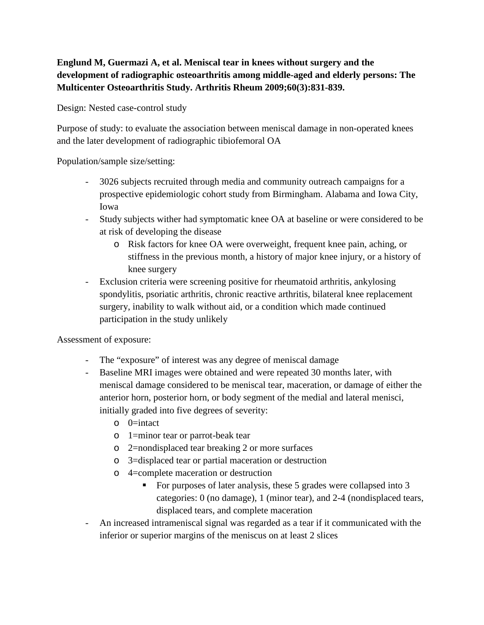## **Englund M, Guermazi A, et al. Meniscal tear in knees without surgery and the development of radiographic osteoarthritis among middle-aged and elderly persons: The Multicenter Osteoarthritis Study. Arthritis Rheum 2009;60(3):831-839.**

Design: Nested case-control study

Purpose of study: to evaluate the association between meniscal damage in non-operated knees and the later development of radiographic tibiofemoral OA

Population/sample size/setting:

- 3026 subjects recruited through media and community outreach campaigns for a prospective epidemiologic cohort study from Birmingham. Alabama and Iowa City, Iowa
- Study subjects wither had symptomatic knee OA at baseline or were considered to be at risk of developing the disease
	- o Risk factors for knee OA were overweight, frequent knee pain, aching, or stiffness in the previous month, a history of major knee injury, or a history of knee surgery
- Exclusion criteria were screening positive for rheumatoid arthritis, ankylosing spondylitis, psoriatic arthritis, chronic reactive arthritis, bilateral knee replacement surgery, inability to walk without aid, or a condition which made continued participation in the study unlikely

Assessment of exposure:

- The "exposure" of interest was any degree of meniscal damage
- Baseline MRI images were obtained and were repeated 30 months later, with meniscal damage considered to be meniscal tear, maceration, or damage of either the anterior horn, posterior horn, or body segment of the medial and lateral menisci, initially graded into five degrees of severity:
	- o 0=intact
	- o 1=minor tear or parrot-beak tear
	- o 2=nondisplaced tear breaking 2 or more surfaces
	- o 3=displaced tear or partial maceration or destruction
	- o 4=complete maceration or destruction
		- For purposes of later analysis, these 5 grades were collapsed into 3 categories: 0 (no damage), 1 (minor tear), and 2-4 (nondisplaced tears, displaced tears, and complete maceration
- An increased intrameniscal signal was regarded as a tear if it communicated with the inferior or superior margins of the meniscus on at least 2 slices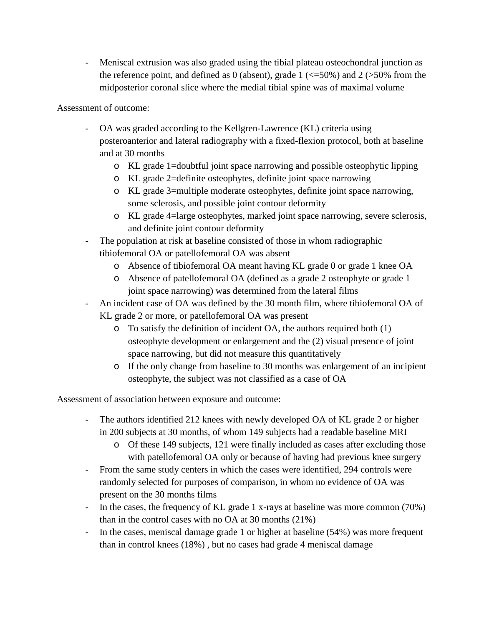- Meniscal extrusion was also graded using the tibial plateau osteochondral junction as the reference point, and defined as 0 (absent), grade  $1$  ( $\lt$ =50%) and 2 ( $>50\%$  from the midposterior coronal slice where the medial tibial spine was of maximal volume

Assessment of outcome:

- OA was graded according to the Kellgren-Lawrence (KL) criteria using posteroanterior and lateral radiography with a fixed-flexion protocol, both at baseline and at 30 months
	- o KL grade 1=doubtful joint space narrowing and possible osteophytic lipping
	- o KL grade 2=definite osteophytes, definite joint space narrowing
	- o KL grade 3=multiple moderate osteophytes, definite joint space narrowing, some sclerosis, and possible joint contour deformity
	- o KL grade 4=large osteophytes, marked joint space narrowing, severe sclerosis, and definite joint contour deformity
- The population at risk at baseline consisted of those in whom radiographic tibiofemoral OA or patellofemoral OA was absent
	- o Absence of tibiofemoral OA meant having KL grade 0 or grade 1 knee OA
	- o Absence of patellofemoral OA (defined as a grade 2 osteophyte or grade 1 joint space narrowing) was determined from the lateral films
- An incident case of OA was defined by the 30 month film, where tibiofemoral OA of KL grade 2 or more, or patellofemoral OA was present
	- o To satisfy the definition of incident OA, the authors required both (1) osteophyte development or enlargement and the (2) visual presence of joint space narrowing, but did not measure this quantitatively
	- o If the only change from baseline to 30 months was enlargement of an incipient osteophyte, the subject was not classified as a case of OA

Assessment of association between exposure and outcome:

- The authors identified 212 knees with newly developed OA of KL grade 2 or higher in 200 subjects at 30 months, of whom 149 subjects had a readable baseline MRI
	- o Of these 149 subjects, 121 were finally included as cases after excluding those with patellofemoral OA only or because of having had previous knee surgery
- From the same study centers in which the cases were identified, 294 controls were randomly selected for purposes of comparison, in whom no evidence of OA was present on the 30 months films
- In the cases, the frequency of KL grade 1 x-rays at baseline was more common (70%) than in the control cases with no OA at 30 months (21%)
- In the cases, meniscal damage grade 1 or higher at baseline (54%) was more frequent than in control knees (18%) , but no cases had grade 4 meniscal damage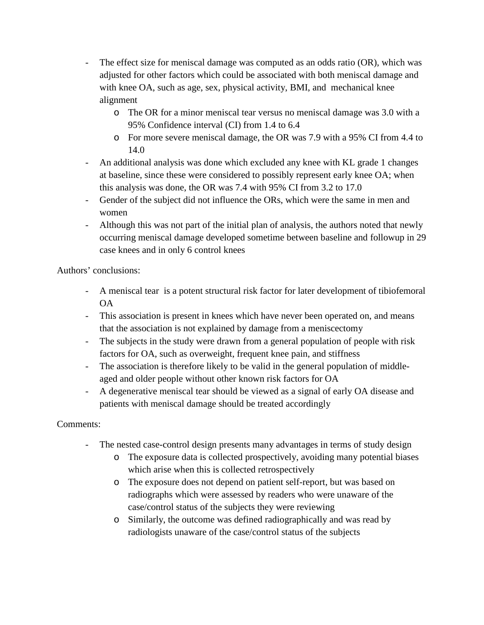- The effect size for meniscal damage was computed as an odds ratio (OR), which was adjusted for other factors which could be associated with both meniscal damage and with knee OA, such as age, sex, physical activity, BMI, and mechanical knee alignment
	- o The OR for a minor meniscal tear versus no meniscal damage was 3.0 with a 95% Confidence interval (CI) from 1.4 to 6.4
	- o For more severe meniscal damage, the OR was 7.9 with a 95% CI from 4.4 to 14.0
- An additional analysis was done which excluded any knee with KL grade 1 changes at baseline, since these were considered to possibly represent early knee OA; when this analysis was done, the OR was 7.4 with 95% CI from 3.2 to 17.0
- Gender of the subject did not influence the ORs, which were the same in men and women
- Although this was not part of the initial plan of analysis, the authors noted that newly occurring meniscal damage developed sometime between baseline and followup in 29 case knees and in only 6 control knees

Authors' conclusions:

- A meniscal tear is a potent structural risk factor for later development of tibiofemoral OA
- This association is present in knees which have never been operated on, and means that the association is not explained by damage from a meniscectomy
- The subjects in the study were drawn from a general population of people with risk factors for OA, such as overweight, frequent knee pain, and stiffness
- The association is therefore likely to be valid in the general population of middleaged and older people without other known risk factors for OA
- A degenerative meniscal tear should be viewed as a signal of early OA disease and patients with meniscal damage should be treated accordingly

Comments:

- The nested case-control design presents many advantages in terms of study design
	- o The exposure data is collected prospectively, avoiding many potential biases which arise when this is collected retrospectively
	- o The exposure does not depend on patient self-report, but was based on radiographs which were assessed by readers who were unaware of the case/control status of the subjects they were reviewing
	- o Similarly, the outcome was defined radiographically and was read by radiologists unaware of the case/control status of the subjects